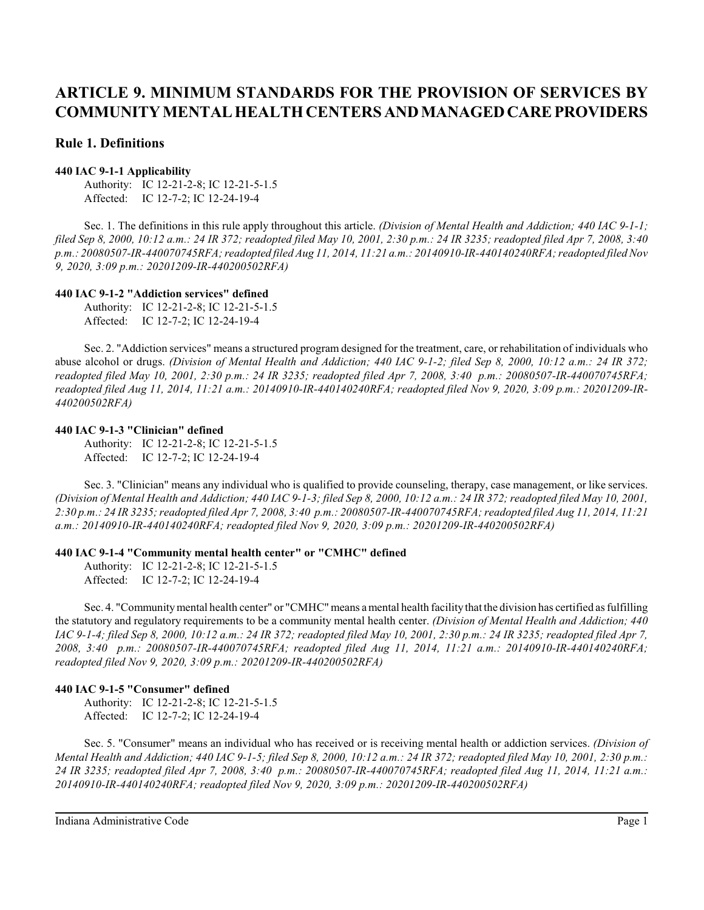# **Rule 1. Definitions**

### **440 IAC 9-1-1 Applicability**

Authority: IC 12-21-2-8; IC 12-21-5-1.5 Affected: IC 12-7-2; IC 12-24-19-4

Sec. 1. The definitions in this rule apply throughout this article. *(Division of Mental Health and Addiction; 440 IAC 9-1-1; filed Sep 8, 2000, 10:12 a.m.: 24 IR 372; readopted filed May 10, 2001, 2:30 p.m.: 24 IR 3235; readopted filed Apr 7, 2008, 3:40 p.m.: 20080507-IR-440070745RFA; readopted filed Aug 11, 2014, 11:21 a.m.: 20140910-IR-440140240RFA; readopted filed Nov 9, 2020, 3:09 p.m.: 20201209-IR-440200502RFA)*

# **440 IAC 9-1-2 "Addiction services" defined**

Authority: IC 12-21-2-8; IC 12-21-5-1.5 Affected: IC 12-7-2; IC 12-24-19-4

Sec. 2. "Addiction services" means a structured program designed for the treatment, care, or rehabilitation of individuals who abuse alcohol or drugs. *(Division of Mental Health and Addiction; 440 IAC 9-1-2; filed Sep 8, 2000, 10:12 a.m.: 24 IR 372; readopted filed May 10, 2001, 2:30 p.m.: 24 IR 3235; readopted filed Apr 7, 2008, 3:40 p.m.: 20080507-IR-440070745RFA; readopted filed Aug 11, 2014, 11:21 a.m.: 20140910-IR-440140240RFA; readopted filed Nov 9, 2020, 3:09 p.m.: 20201209-IR-440200502RFA)*

#### **440 IAC 9-1-3 "Clinician" defined**

Authority: IC 12-21-2-8; IC 12-21-5-1.5 Affected: IC 12-7-2; IC 12-24-19-4

Sec. 3. "Clinician" means any individual who is qualified to provide counseling, therapy, case management, or like services. *(Division of Mental Health and Addiction; 440 IAC 9-1-3; filed Sep 8, 2000, 10:12 a.m.: 24 IR 372; readopted filed May 10, 2001, 2:30 p.m.: 24 IR 3235; readopted filed Apr 7, 2008, 3:40 p.m.: 20080507-IR-440070745RFA; readopted filed Aug 11, 2014, 11:21 a.m.: 20140910-IR-440140240RFA; readopted filed Nov 9, 2020, 3:09 p.m.: 20201209-IR-440200502RFA)*

# **440 IAC 9-1-4 "Community mental health center" or "CMHC" defined**

Authority: IC 12-21-2-8; IC 12-21-5-1.5 Affected: IC 12-7-2; IC 12-24-19-4

Sec. 4. "Community mental health center" or "CMHC" means a mental health facility that the division has certified as fulfilling the statutory and regulatory requirements to be a community mental health center. *(Division of Mental Health and Addiction; 440 IAC 9-1-4; filed Sep 8, 2000, 10:12 a.m.: 24 IR 372; readopted filed May 10, 2001, 2:30 p.m.: 24 IR 3235; readopted filed Apr 7, 2008, 3:40 p.m.: 20080507-IR-440070745RFA; readopted filed Aug 11, 2014, 11:21 a.m.: 20140910-IR-440140240RFA; readopted filed Nov 9, 2020, 3:09 p.m.: 20201209-IR-440200502RFA)*

# **440 IAC 9-1-5 "Consumer" defined**

Authority: IC 12-21-2-8; IC 12-21-5-1.5 Affected: IC 12-7-2; IC 12-24-19-4

Sec. 5. "Consumer" means an individual who has received or is receiving mental health or addiction services. *(Division of Mental Health and Addiction; 440 IAC 9-1-5; filed Sep 8, 2000, 10:12 a.m.: 24 IR 372; readopted filed May 10, 2001, 2:30 p.m.: 24 IR 3235; readopted filed Apr 7, 2008, 3:40 p.m.: 20080507-IR-440070745RFA; readopted filed Aug 11, 2014, 11:21 a.m.: 20140910-IR-440140240RFA; readopted filed Nov 9, 2020, 3:09 p.m.: 20201209-IR-440200502RFA)*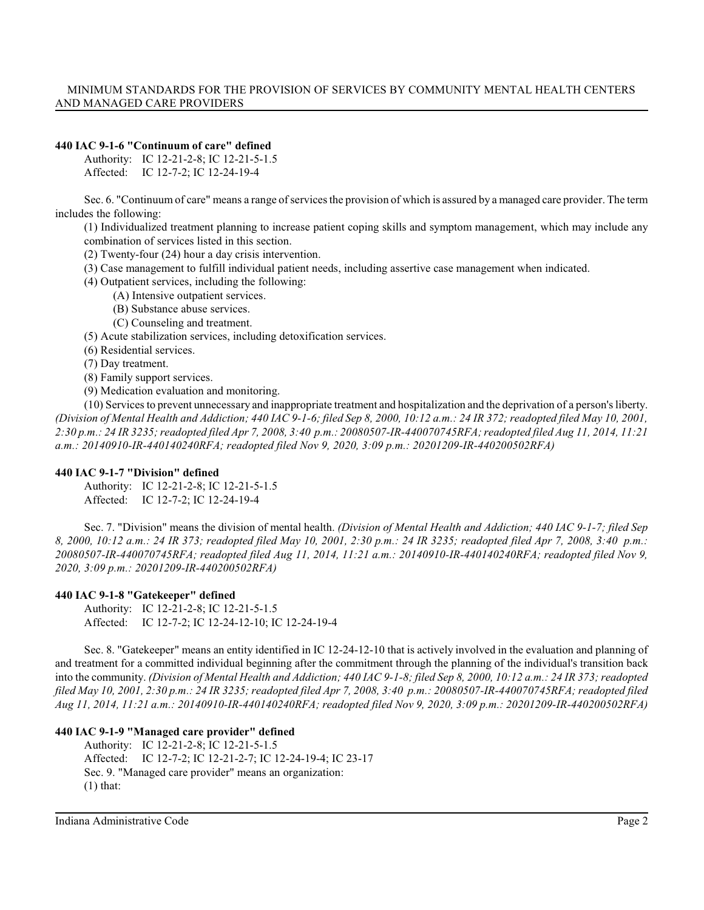### **440 IAC 9-1-6 "Continuum of care" defined**

Authority: IC 12-21-2-8; IC 12-21-5-1.5 Affected: IC 12-7-2; IC 12-24-19-4

Sec. 6. "Continuum of care" means a range of services the provision of which is assured by a managed care provider. The term includes the following:

(1) Individualized treatment planning to increase patient coping skills and symptom management, which may include any combination of services listed in this section.

(2) Twenty-four (24) hour a day crisis intervention.

- (3) Case management to fulfill individual patient needs, including assertive case management when indicated.
- (4) Outpatient services, including the following:
	- (A) Intensive outpatient services.
	- (B) Substance abuse services.
	- (C) Counseling and treatment.
- (5) Acute stabilization services, including detoxification services.
- (6) Residential services.
- (7) Day treatment.
- (8) Family support services.
- (9) Medication evaluation and monitoring.

(10) Servicesto prevent unnecessary and inappropriate treatment and hospitalization and the deprivation of a person's liberty. *(Division of Mental Health and Addiction; 440 IAC 9-1-6; filed Sep 8, 2000, 10:12 a.m.: 24 IR 372; readopted filed May 10, 2001, 2:30 p.m.: 24 IR 3235; readopted filed Apr 7, 2008, 3:40 p.m.: 20080507-IR-440070745RFA; readopted filed Aug 11, 2014, 11:21 a.m.: 20140910-IR-440140240RFA; readopted filed Nov 9, 2020, 3:09 p.m.: 20201209-IR-440200502RFA)*

#### **440 IAC 9-1-7 "Division" defined**

Authority: IC 12-21-2-8; IC 12-21-5-1.5 Affected: IC 12-7-2; IC 12-24-19-4

Sec. 7. "Division" means the division of mental health. *(Division of Mental Health and Addiction; 440 IAC 9-1-7; filed Sep 8, 2000, 10:12 a.m.: 24 IR 373; readopted filed May 10, 2001, 2:30 p.m.: 24 IR 3235; readopted filed Apr 7, 2008, 3:40 p.m.: 20080507-IR-440070745RFA; readopted filed Aug 11, 2014, 11:21 a.m.: 20140910-IR-440140240RFA; readopted filed Nov 9, 2020, 3:09 p.m.: 20201209-IR-440200502RFA)*

# **440 IAC 9-1-8 "Gatekeeper" defined**

Authority: IC 12-21-2-8; IC 12-21-5-1.5 Affected: IC 12-7-2; IC 12-24-12-10; IC 12-24-19-4

Sec. 8. "Gatekeeper" means an entity identified in IC 12-24-12-10 that is actively involved in the evaluation and planning of and treatment for a committed individual beginning after the commitment through the planning of the individual's transition back into the community. *(Division of Mental Health and Addiction; 440 IAC 9-1-8; filed Sep 8, 2000, 10:12 a.m.: 24 IR 373; readopted filed May 10, 2001, 2:30 p.m.: 24 IR 3235; readopted filed Apr 7, 2008, 3:40 p.m.: 20080507-IR-440070745RFA; readopted filed Aug 11, 2014, 11:21 a.m.: 20140910-IR-440140240RFA; readopted filed Nov 9, 2020, 3:09 p.m.: 20201209-IR-440200502RFA)*

# **440 IAC 9-1-9 "Managed care provider" defined**

Authority: IC 12-21-2-8; IC 12-21-5-1.5 Affected: IC 12-7-2; IC 12-21-2-7; IC 12-24-19-4; IC 23-17 Sec. 9. "Managed care provider" means an organization:  $(1)$  that: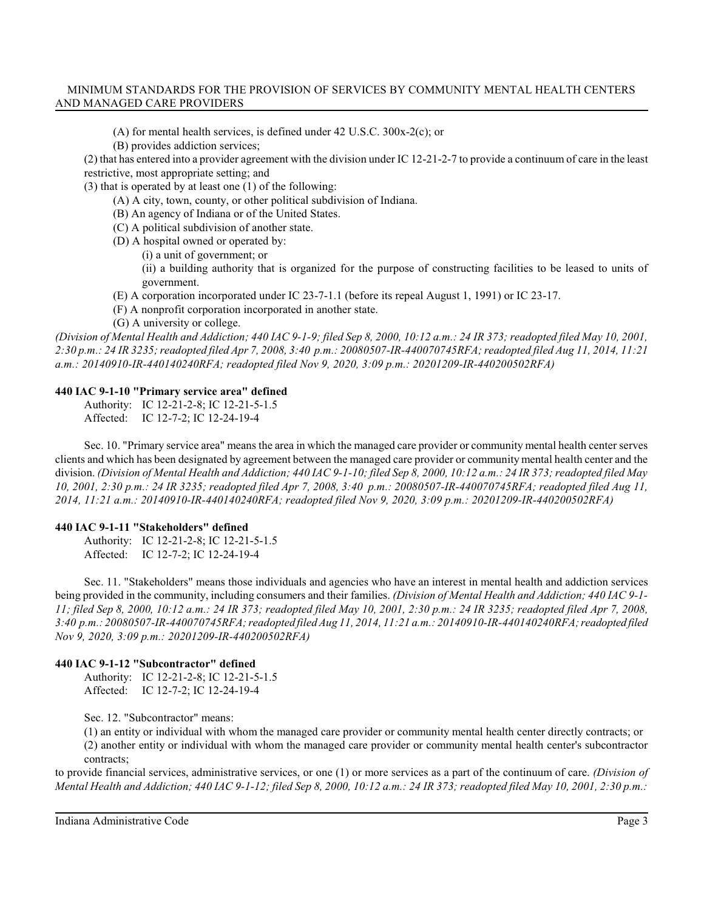- (A) for mental health services, is defined under 42 U.S.C. 300x-2(c); or
- (B) provides addiction services;

(2) that has entered into a provider agreement with the division under IC 12-21-2-7 to provide a continuum of care in the least restrictive, most appropriate setting; and

(3) that is operated by at least one (1) of the following:

- (A) A city, town, county, or other political subdivision of Indiana.
- (B) An agency of Indiana or of the United States.
- (C) A political subdivision of another state.
- (D) A hospital owned or operated by:
	- (i) a unit of government; or

(ii) a building authority that is organized for the purpose of constructing facilities to be leased to units of government.

- (E) A corporation incorporated under IC 23-7-1.1 (before its repeal August 1, 1991) or IC 23-17.
- (F) A nonprofit corporation incorporated in another state.
- (G) A university or college.

*(Division of Mental Health and Addiction; 440 IAC 9-1-9; filed Sep 8, 2000, 10:12 a.m.: 24 IR 373; readopted filed May 10, 2001, 2:30 p.m.: 24 IR 3235; readopted filed Apr 7, 2008, 3:40 p.m.: 20080507-IR-440070745RFA; readopted filed Aug 11, 2014, 11:21 a.m.: 20140910-IR-440140240RFA; readopted filed Nov 9, 2020, 3:09 p.m.: 20201209-IR-440200502RFA)*

# **440 IAC 9-1-10 "Primary service area" defined**

Authority: IC 12-21-2-8; IC 12-21-5-1.5 Affected: IC 12-7-2; IC 12-24-19-4

Sec. 10. "Primary service area" means the area in which the managed care provider or community mental health center serves clients and which has been designated by agreement between the managed care provider or community mental health center and the division. *(Division of Mental Health and Addiction; 440 IAC 9-1-10; filed Sep 8, 2000, 10:12 a.m.: 24 IR 373; readopted filed May 10, 2001, 2:30 p.m.: 24 IR 3235; readopted filed Apr 7, 2008, 3:40 p.m.: 20080507-IR-440070745RFA; readopted filed Aug 11, 2014, 11:21 a.m.: 20140910-IR-440140240RFA; readopted filed Nov 9, 2020, 3:09 p.m.: 20201209-IR-440200502RFA)*

# **440 IAC 9-1-11 "Stakeholders" defined**

Authority: IC 12-21-2-8; IC 12-21-5-1.5 Affected: IC 12-7-2; IC 12-24-19-4

Sec. 11. "Stakeholders" means those individuals and agencies who have an interest in mental health and addiction services being provided in the community, including consumers and their families. *(Division of Mental Health and Addiction; 440 IAC 9-1- 11; filed Sep 8, 2000, 10:12 a.m.: 24 IR 373; readopted filed May 10, 2001, 2:30 p.m.: 24 IR 3235; readopted filed Apr 7, 2008, 3:40 p.m.: 20080507-IR-440070745RFA; readopted filed Aug 11, 2014, 11:21 a.m.: 20140910-IR-440140240RFA; readopted filed Nov 9, 2020, 3:09 p.m.: 20201209-IR-440200502RFA)*

# **440 IAC 9-1-12 "Subcontractor" defined**

Authority: IC 12-21-2-8; IC 12-21-5-1.5 Affected: IC 12-7-2; IC 12-24-19-4

Sec. 12. "Subcontractor" means:

(1) an entity or individual with whom the managed care provider or community mental health center directly contracts; or (2) another entity or individual with whom the managed care provider or community mental health center's subcontractor contracts;

to provide financial services, administrative services, or one (1) or more services as a part of the continuum of care. *(Division of Mental Health and Addiction; 440 IAC 9-1-12; filed Sep 8, 2000, 10:12 a.m.: 24 IR 373; readopted filed May 10, 2001, 2:30 p.m.:*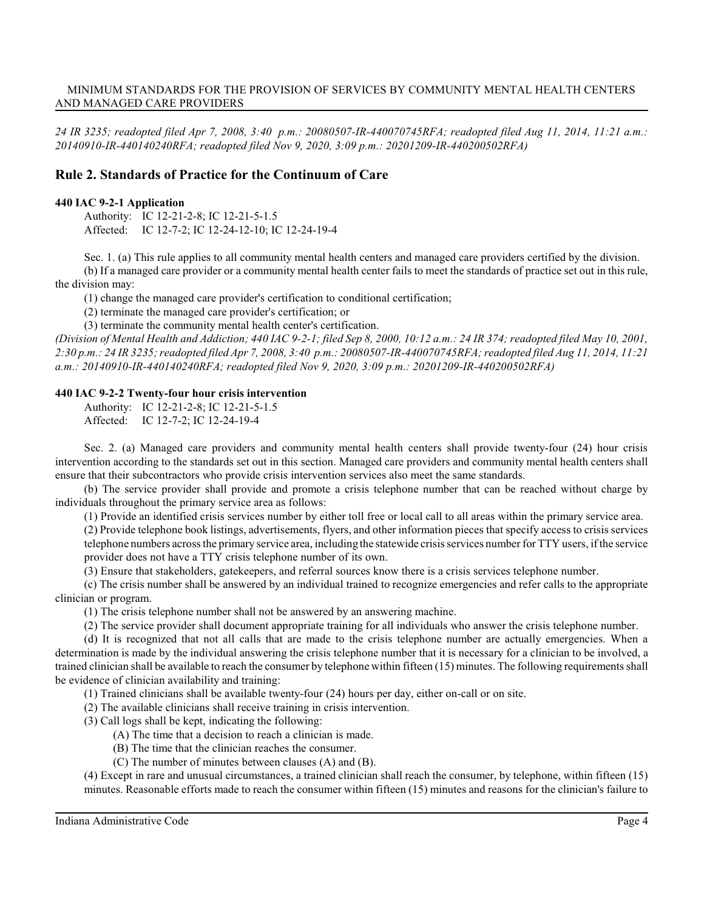*24 IR 3235; readopted filed Apr 7, 2008, 3:40 p.m.: 20080507-IR-440070745RFA; readopted filed Aug 11, 2014, 11:21 a.m.: 20140910-IR-440140240RFA; readopted filed Nov 9, 2020, 3:09 p.m.: 20201209-IR-440200502RFA)*

# **Rule 2. Standards of Practice for the Continuum of Care**

#### **440 IAC 9-2-1 Application**

Authority: IC 12-21-2-8; IC 12-21-5-1.5 Affected: IC 12-7-2; IC 12-24-12-10; IC 12-24-19-4

Sec. 1. (a) This rule applies to all community mental health centers and managed care providers certified by the division. (b) If a managed care provider or a community mental health center fails to meet the standards of practice set out in this rule, the division may:

(1) change the managed care provider's certification to conditional certification;

(2) terminate the managed care provider's certification; or

(3) terminate the community mental health center's certification.

*(Division of Mental Health and Addiction; 440 IAC 9-2-1; filed Sep 8, 2000, 10:12 a.m.: 24 IR 374; readopted filed May 10, 2001, 2:30 p.m.: 24 IR 3235; readopted filed Apr 7, 2008, 3:40 p.m.: 20080507-IR-440070745RFA; readopted filed Aug 11, 2014, 11:21 a.m.: 20140910-IR-440140240RFA; readopted filed Nov 9, 2020, 3:09 p.m.: 20201209-IR-440200502RFA)*

#### **440 IAC 9-2-2 Twenty-four hour crisis intervention**

Authority: IC 12-21-2-8; IC 12-21-5-1.5

Affected: IC 12-7-2; IC 12-24-19-4

Sec. 2. (a) Managed care providers and community mental health centers shall provide twenty-four (24) hour crisis intervention according to the standards set out in this section. Managed care providers and community mental health centers shall ensure that their subcontractors who provide crisis intervention services also meet the same standards.

(b) The service provider shall provide and promote a crisis telephone number that can be reached without charge by individuals throughout the primary service area as follows:

(1) Provide an identified crisis services number by either toll free or local call to all areas within the primary service area.

(2) Provide telephone book listings, advertisements, flyers, and other information pieces that specify access to crisis services telephone numbers acrossthe primary service area, including the statewide crisis services number for TTY users, ifthe service provider does not have a TTY crisis telephone number of its own.

(3) Ensure that stakeholders, gatekeepers, and referral sources know there is a crisis services telephone number.

(c) The crisis number shall be answered by an individual trained to recognize emergencies and refer calls to the appropriate clinician or program.

(1) The crisis telephone number shall not be answered by an answering machine.

(2) The service provider shall document appropriate training for all individuals who answer the crisis telephone number.

(d) It is recognized that not all calls that are made to the crisis telephone number are actually emergencies. When a determination is made by the individual answering the crisis telephone number that it is necessary for a clinician to be involved, a trained clinician shall be available to reach the consumer by telephone within fifteen (15) minutes. The following requirements shall be evidence of clinician availability and training:

(1) Trained clinicians shall be available twenty-four (24) hours per day, either on-call or on site.

(2) The available clinicians shall receive training in crisis intervention.

(3) Call logs shall be kept, indicating the following:

- (A) The time that a decision to reach a clinician is made.
- (B) The time that the clinician reaches the consumer.
- (C) The number of minutes between clauses (A) and (B).

(4) Except in rare and unusual circumstances, a trained clinician shall reach the consumer, by telephone, within fifteen (15) minutes. Reasonable efforts made to reach the consumer within fifteen (15) minutes and reasons for the clinician's failure to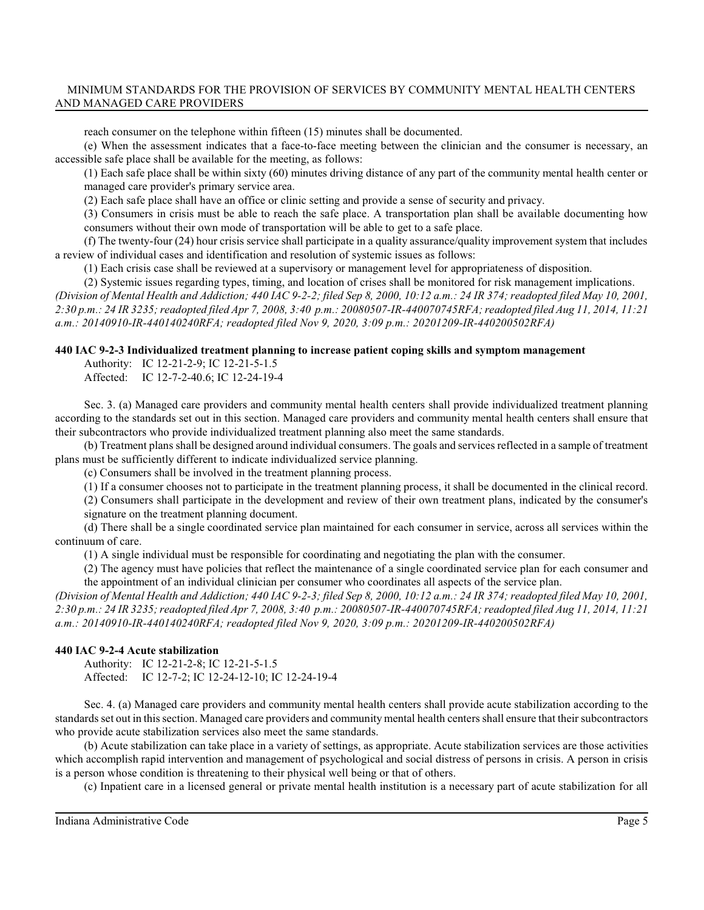reach consumer on the telephone within fifteen (15) minutes shall be documented.

(e) When the assessment indicates that a face-to-face meeting between the clinician and the consumer is necessary, an accessible safe place shall be available for the meeting, as follows:

(1) Each safe place shall be within sixty (60) minutes driving distance of any part of the community mental health center or managed care provider's primary service area.

(2) Each safe place shall have an office or clinic setting and provide a sense of security and privacy.

(3) Consumers in crisis must be able to reach the safe place. A transportation plan shall be available documenting how consumers without their own mode of transportation will be able to get to a safe place.

(f) The twenty-four (24) hour crisis service shall participate in a quality assurance/quality improvement system that includes a review of individual cases and identification and resolution of systemic issues as follows:

(1) Each crisis case shall be reviewed at a supervisory or management level for appropriateness of disposition.

(2) Systemic issues regarding types, timing, and location of crises shall be monitored for risk management implications. *(Division of Mental Health and Addiction; 440 IAC 9-2-2; filed Sep 8, 2000, 10:12 a.m.: 24 IR 374; readopted filed May 10, 2001, 2:30 p.m.: 24 IR 3235; readopted filed Apr 7, 2008, 3:40 p.m.: 20080507-IR-440070745RFA; readopted filed Aug 11, 2014, 11:21 a.m.: 20140910-IR-440140240RFA; readopted filed Nov 9, 2020, 3:09 p.m.: 20201209-IR-440200502RFA)*

# **440 IAC 9-2-3 Individualized treatment planning to increase patient coping skills and symptom management**

Authority: IC 12-21-2-9; IC 12-21-5-1.5

Affected: IC 12-7-2-40.6; IC 12-24-19-4

Sec. 3. (a) Managed care providers and community mental health centers shall provide individualized treatment planning according to the standards set out in this section. Managed care providers and community mental health centers shall ensure that their subcontractors who provide individualized treatment planning also meet the same standards.

(b) Treatment plans shall be designed around individual consumers. The goals and services reflected in a sample of treatment plans must be sufficiently different to indicate individualized service planning.

(c) Consumers shall be involved in the treatment planning process.

(1) If a consumer chooses not to participate in the treatment planning process, it shall be documented in the clinical record.

(2) Consumers shall participate in the development and review of their own treatment plans, indicated by the consumer's signature on the treatment planning document.

(d) There shall be a single coordinated service plan maintained for each consumer in service, across all services within the continuum of care.

(1) A single individual must be responsible for coordinating and negotiating the plan with the consumer.

(2) The agency must have policies that reflect the maintenance of a single coordinated service plan for each consumer and the appointment of an individual clinician per consumer who coordinates all aspects of the service plan.

*(Division of Mental Health and Addiction; 440 IAC 9-2-3; filed Sep 8, 2000, 10:12 a.m.: 24 IR 374; readopted filed May 10, 2001, 2:30 p.m.: 24 IR 3235; readopted filed Apr 7, 2008, 3:40 p.m.: 20080507-IR-440070745RFA; readopted filed Aug 11, 2014, 11:21 a.m.: 20140910-IR-440140240RFA; readopted filed Nov 9, 2020, 3:09 p.m.: 20201209-IR-440200502RFA)*

# **440 IAC 9-2-4 Acute stabilization**

Authority: IC 12-21-2-8; IC 12-21-5-1.5 Affected: IC 12-7-2; IC 12-24-12-10; IC 12-24-19-4

Sec. 4. (a) Managed care providers and community mental health centers shall provide acute stabilization according to the standards set out in this section. Managed care providers and community mental health centers shall ensure that their subcontractors who provide acute stabilization services also meet the same standards.

(b) Acute stabilization can take place in a variety of settings, as appropriate. Acute stabilization services are those activities which accomplish rapid intervention and management of psychological and social distress of persons in crisis. A person in crisis is a person whose condition is threatening to their physical well being or that of others.

(c) Inpatient care in a licensed general or private mental health institution is a necessary part of acute stabilization for all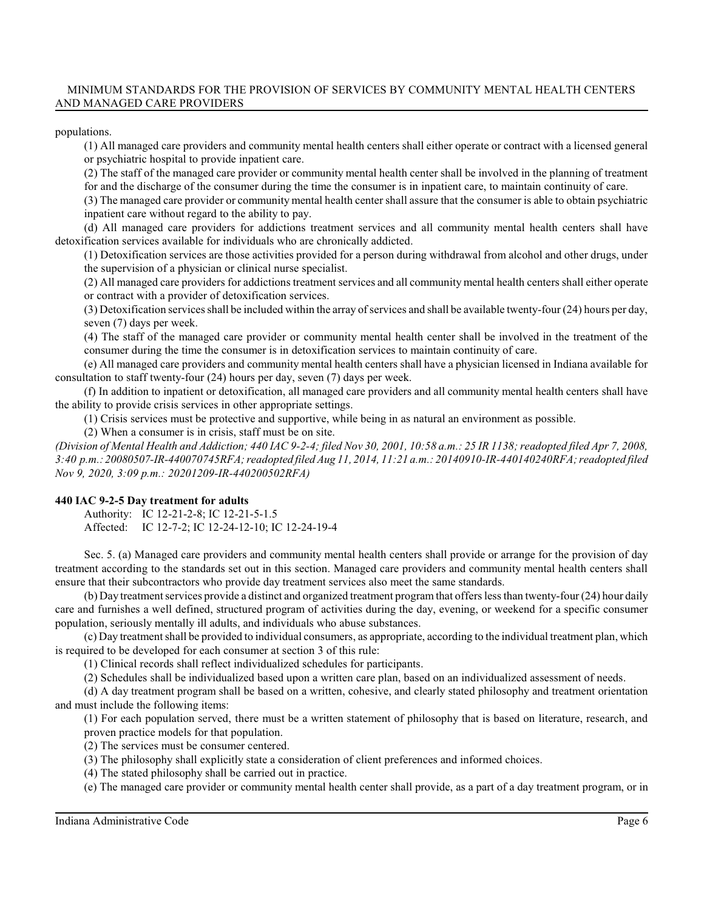populations.

(1) All managed care providers and community mental health centers shall either operate or contract with a licensed general or psychiatric hospital to provide inpatient care.

(2) The staff of the managed care provider or community mental health center shall be involved in the planning of treatment

for and the discharge of the consumer during the time the consumer is in inpatient care, to maintain continuity of care.

(3) The managed care provider or community mental health center shall assure that the consumer is able to obtain psychiatric inpatient care without regard to the ability to pay.

(d) All managed care providers for addictions treatment services and all community mental health centers shall have detoxification services available for individuals who are chronically addicted.

(1) Detoxification services are those activities provided for a person during withdrawal from alcohol and other drugs, under the supervision of a physician or clinical nurse specialist.

(2) All managed care providers for addictions treatment services and all community mental health centers shall either operate or contract with a provider of detoxification services.

(3) Detoxification services shall be included within the array ofservices and shall be available twenty-four (24) hours per day, seven (7) days per week.

(4) The staff of the managed care provider or community mental health center shall be involved in the treatment of the consumer during the time the consumer is in detoxification services to maintain continuity of care.

(e) All managed care providers and community mental health centers shall have a physician licensed in Indiana available for consultation to staff twenty-four (24) hours per day, seven (7) days per week.

(f) In addition to inpatient or detoxification, all managed care providers and all community mental health centers shall have the ability to provide crisis services in other appropriate settings.

(1) Crisis services must be protective and supportive, while being in as natural an environment as possible.

(2) When a consumer is in crisis, staff must be on site.

*(Division of Mental Health and Addiction; 440 IAC 9-2-4; filed Nov 30, 2001, 10:58 a.m.: 25 IR 1138; readopted filed Apr 7, 2008, 3:40 p.m.: 20080507-IR-440070745RFA; readopted filed Aug 11, 2014, 11:21 a.m.: 20140910-IR-440140240RFA; readopted filed Nov 9, 2020, 3:09 p.m.: 20201209-IR-440200502RFA)*

# **440 IAC 9-2-5 Day treatment for adults**

Authority: IC 12-21-2-8; IC 12-21-5-1.5 Affected: IC 12-7-2; IC 12-24-12-10; IC 12-24-19-4

Sec. 5. (a) Managed care providers and community mental health centers shall provide or arrange for the provision of day treatment according to the standards set out in this section. Managed care providers and community mental health centers shall ensure that their subcontractors who provide day treatment services also meet the same standards.

(b) Day treatment services provide a distinct and organized treatment program that offerslessthan twenty-four (24) hour daily care and furnishes a well defined, structured program of activities during the day, evening, or weekend for a specific consumer population, seriously mentally ill adults, and individuals who abuse substances.

(c) Day treatment shall be provided to individual consumers, as appropriate, according to the individual treatment plan, which is required to be developed for each consumer at section 3 of this rule:

(1) Clinical records shall reflect individualized schedules for participants.

(2) Schedules shall be individualized based upon a written care plan, based on an individualized assessment of needs.

(d) A day treatment program shall be based on a written, cohesive, and clearly stated philosophy and treatment orientation and must include the following items:

(1) For each population served, there must be a written statement of philosophy that is based on literature, research, and proven practice models for that population.

(2) The services must be consumer centered.

(3) The philosophy shall explicitly state a consideration of client preferences and informed choices.

(4) The stated philosophy shall be carried out in practice.

(e) The managed care provider or community mental health center shall provide, as a part of a day treatment program, or in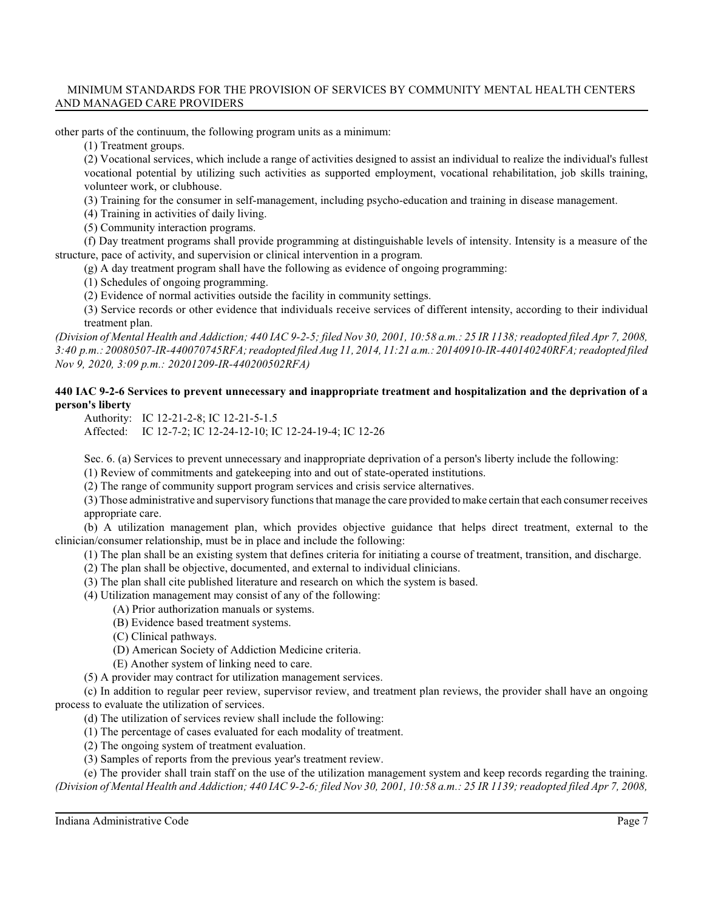other parts of the continuum, the following program units as a minimum:

(1) Treatment groups.

(2) Vocational services, which include a range of activities designed to assist an individual to realize the individual's fullest vocational potential by utilizing such activities as supported employment, vocational rehabilitation, job skills training, volunteer work, or clubhouse.

(3) Training for the consumer in self-management, including psycho-education and training in disease management.

(4) Training in activities of daily living.

(5) Community interaction programs.

(f) Day treatment programs shall provide programming at distinguishable levels of intensity. Intensity is a measure of the structure, pace of activity, and supervision or clinical intervention in a program.

 $(g)$  A day treatment program shall have the following as evidence of ongoing programming:

(1) Schedules of ongoing programming.

(2) Evidence of normal activities outside the facility in community settings.

(3) Service records or other evidence that individuals receive services of different intensity, according to their individual treatment plan.

*(Division of Mental Health and Addiction; 440 IAC 9-2-5; filed Nov 30, 2001, 10:58 a.m.: 25 IR 1138; readopted filed Apr 7, 2008, 3:40 p.m.: 20080507-IR-440070745RFA; readopted filed Aug 11, 2014, 11:21 a.m.:20140910-IR-440140240RFA; readopted filed Nov 9, 2020, 3:09 p.m.: 20201209-IR-440200502RFA)*

# **440 IAC 9-2-6 Services to prevent unnecessary and inappropriate treatment and hospitalization and the deprivation of a person's liberty**

Authority: IC 12-21-2-8; IC 12-21-5-1.5 Affected: IC 12-7-2; IC 12-24-12-10; IC 12-24-19-4; IC 12-26

Sec. 6. (a) Services to prevent unnecessary and inappropriate deprivation of a person's liberty include the following:

(1) Review of commitments and gatekeeping into and out of state-operated institutions.

(2) The range of community support program services and crisis service alternatives.

(3) Those administrative and supervisory functions that manage the care provided to make certain that each consumer receives appropriate care.

(b) A utilization management plan, which provides objective guidance that helps direct treatment, external to the clinician/consumer relationship, must be in place and include the following:

(1) The plan shall be an existing system that defines criteria for initiating a course of treatment, transition, and discharge.

- (2) The plan shall be objective, documented, and external to individual clinicians.
- (3) The plan shall cite published literature and research on which the system is based.

(4) Utilization management may consist of any of the following:

- (A) Prior authorization manuals or systems.
- (B) Evidence based treatment systems.

(C) Clinical pathways.

(D) American Society of Addiction Medicine criteria.

(E) Another system of linking need to care.

(5) A provider may contract for utilization management services.

(c) In addition to regular peer review, supervisor review, and treatment plan reviews, the provider shall have an ongoing process to evaluate the utilization of services.

(d) The utilization of services review shall include the following:

(1) The percentage of cases evaluated for each modality of treatment.

(2) The ongoing system of treatment evaluation.

(3) Samples of reports from the previous year's treatment review.

(e) The provider shall train staff on the use of the utilization management system and keep records regarding the training. *(Division of Mental Health and Addiction; 440 IAC 9-2-6; filed Nov 30, 2001, 10:58 a.m.: 25 IR 1139; readopted filed Apr 7, 2008,*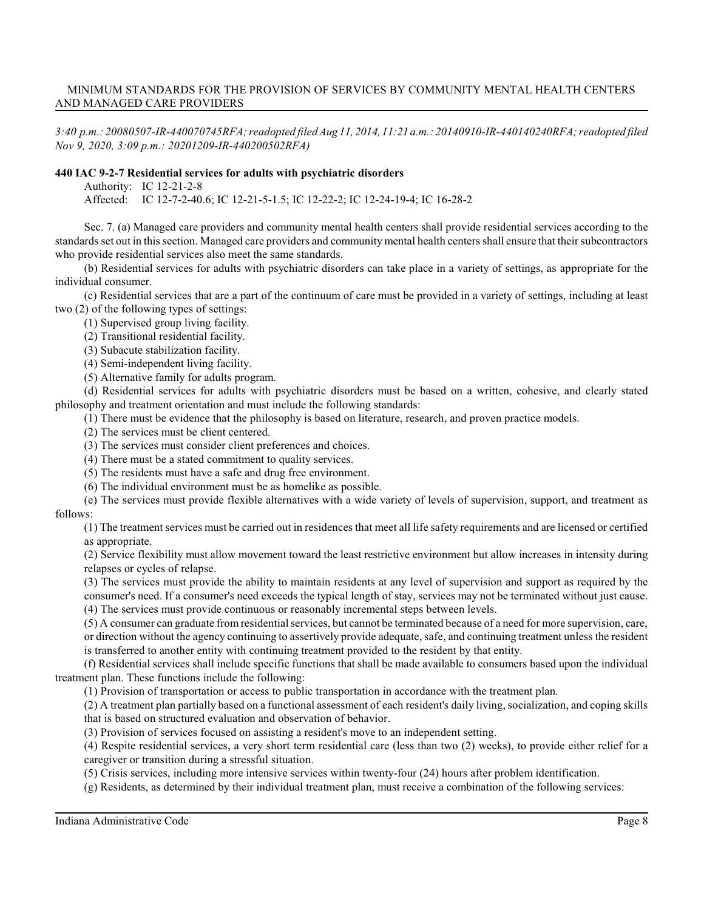*3:40 p.m.: 20080507-IR-440070745RFA; readopted filed Aug 11, 2014, 11:21 a.m.: 20140910-IR-440140240RFA; readopted filed Nov 9, 2020, 3:09 p.m.: 20201209-IR-440200502RFA)*

### **440 IAC 9-2-7 Residential services for adults with psychiatric disorders**

Authority: IC 12-21-2-8

Affected: IC 12-7-2-40.6; IC 12-21-5-1.5; IC 12-22-2; IC 12-24-19-4; IC 16-28-2

Sec. 7. (a) Managed care providers and community mental health centers shall provide residential services according to the standards set out in this section. Managed care providers and community mental health centers shall ensure that their subcontractors who provide residential services also meet the same standards.

(b) Residential services for adults with psychiatric disorders can take place in a variety of settings, as appropriate for the individual consumer.

(c) Residential services that are a part of the continuum of care must be provided in a variety of settings, including at least two (2) of the following types of settings:

(1) Supervised group living facility.

(2) Transitional residential facility.

(3) Subacute stabilization facility.

(4) Semi-independent living facility.

(5) Alternative family for adults program.

(d) Residential services for adults with psychiatric disorders must be based on a written, cohesive, and clearly stated philosophy and treatment orientation and must include the following standards:

(1) There must be evidence that the philosophy is based on literature, research, and proven practice models.

(2) The services must be client centered.

(3) The services must consider client preferences and choices.

(4) There must be a stated commitment to quality services.

(5) The residents must have a safe and drug free environment.

(6) The individual environment must be as homelike as possible.

(e) The services must provide flexible alternatives with a wide variety of levels of supervision, support, and treatment as follows:

(1) The treatment services must be carried out in residences that meet all life safety requirements and are licensed or certified as appropriate.

(2) Service flexibility must allow movement toward the least restrictive environment but allow increases in intensity during relapses or cycles of relapse.

(3) The services must provide the ability to maintain residents at any level of supervision and support as required by the consumer's need. If a consumer's need exceeds the typical length of stay, services may not be terminated without just cause. (4) The services must provide continuous or reasonably incremental steps between levels.

(5) A consumer can graduate from residential services, but cannot be terminated because of a need for more supervision, care, or direction without the agency continuing to assertively provide adequate, safe, and continuing treatment unless the resident is transferred to another entity with continuing treatment provided to the resident by that entity.

(f) Residential services shall include specific functions that shall be made available to consumers based upon the individual treatment plan. These functions include the following:

(1) Provision of transportation or access to public transportation in accordance with the treatment plan.

(2) A treatment plan partially based on a functional assessment of each resident's daily living, socialization, and coping skills that is based on structured evaluation and observation of behavior.

(3) Provision of services focused on assisting a resident's move to an independent setting.

(4) Respite residential services, a very short term residential care (less than two (2) weeks), to provide either relief for a caregiver or transition during a stressful situation.

(5) Crisis services, including more intensive services within twenty-four (24) hours after problem identification.

(g) Residents, as determined by their individual treatment plan, must receive a combination of the following services: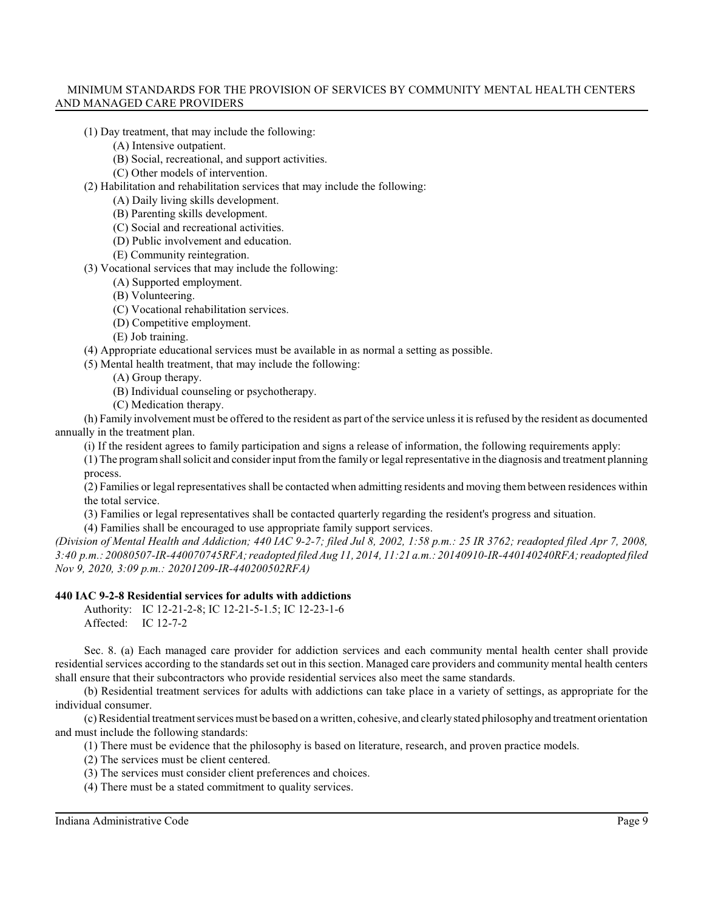- (1) Day treatment, that may include the following:
	- (A) Intensive outpatient.
	- (B) Social, recreational, and support activities.
	- (C) Other models of intervention.
- (2) Habilitation and rehabilitation services that may include the following:
	- (A) Daily living skills development.
	- (B) Parenting skills development.
	- (C) Social and recreational activities.
	- (D) Public involvement and education.
	- (E) Community reintegration.
- (3) Vocational services that may include the following:
	- (A) Supported employment.
	- (B) Volunteering.
	- (C) Vocational rehabilitation services.
	- (D) Competitive employment.
	- (E) Job training.

(4) Appropriate educational services must be available in as normal a setting as possible.

(5) Mental health treatment, that may include the following:

- (A) Group therapy.
- (B) Individual counseling or psychotherapy.
- (C) Medication therapy.

(h) Family involvement must be offered to the resident as part of the service unless it is refused by the resident as documented annually in the treatment plan.

(i) If the resident agrees to family participation and signs a release of information, the following requirements apply:

(1) The programshall solicit and consider input fromthe family or legal representative in the diagnosis and treatment planning process.

(2) Families or legal representatives shall be contacted when admitting residents and moving them between residences within the total service.

(3) Families or legal representatives shall be contacted quarterly regarding the resident's progress and situation.

(4) Families shall be encouraged to use appropriate family support services.

*(Division of Mental Health and Addiction; 440 IAC 9-2-7; filed Jul 8, 2002, 1:58 p.m.: 25 IR 3762; readopted filed Apr 7, 2008, 3:40 p.m.: 20080507-IR-440070745RFA; readopted filed Aug 11, 2014, 11:21 a.m.: 20140910-IR-440140240RFA;readopted filed Nov 9, 2020, 3:09 p.m.: 20201209-IR-440200502RFA)*

# **440 IAC 9-2-8 Residential services for adults with addictions**

Authority: IC 12-21-2-8; IC 12-21-5-1.5; IC 12-23-1-6 Affected: IC 12-7-2

Sec. 8. (a) Each managed care provider for addiction services and each community mental health center shall provide residential services according to the standards set out in this section. Managed care providers and community mental health centers shall ensure that their subcontractors who provide residential services also meet the same standards.

(b) Residential treatment services for adults with addictions can take place in a variety of settings, as appropriate for the individual consumer.

(c)Residential treatment services must be based on a written, cohesive, and clearlystated philosophy and treatment orientation and must include the following standards:

(1) There must be evidence that the philosophy is based on literature, research, and proven practice models.

- (2) The services must be client centered.
- (3) The services must consider client preferences and choices.
- (4) There must be a stated commitment to quality services.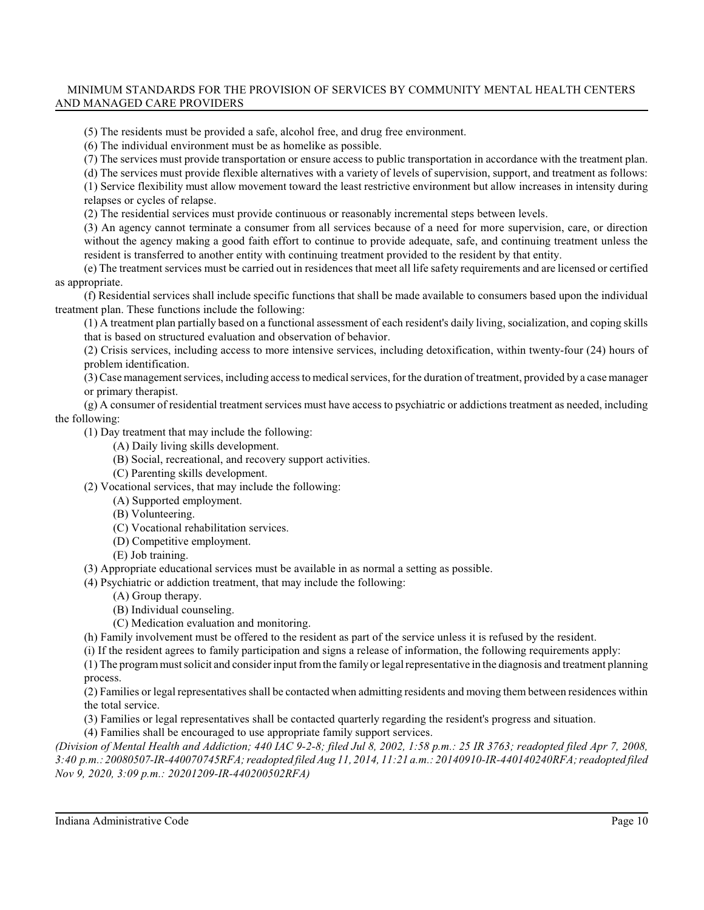(5) The residents must be provided a safe, alcohol free, and drug free environment.

(6) The individual environment must be as homelike as possible.

(7) The services must provide transportation or ensure access to public transportation in accordance with the treatment plan.

(d) The services must provide flexible alternatives with a variety of levels of supervision, support, and treatment as follows:

(1) Service flexibility must allow movement toward the least restrictive environment but allow increases in intensity during relapses or cycles of relapse.

(2) The residential services must provide continuous or reasonably incremental steps between levels.

(3) An agency cannot terminate a consumer from all services because of a need for more supervision, care, or direction without the agency making a good faith effort to continue to provide adequate, safe, and continuing treatment unless the resident is transferred to another entity with continuing treatment provided to the resident by that entity.

(e) The treatment services must be carried out in residences that meet all life safety requirements and are licensed or certified as appropriate.

(f) Residential services shall include specific functions that shall be made available to consumers based upon the individual treatment plan. These functions include the following:

(1) A treatment plan partially based on a functional assessment of each resident's daily living, socialization, and coping skills that is based on structured evaluation and observation of behavior.

(2) Crisis services, including access to more intensive services, including detoxification, within twenty-four (24) hours of problem identification.

(3) Case management services, including access to medical services, for the duration of treatment, provided by a case manager or primary therapist.

(g) A consumer of residential treatment services must have access to psychiatric or addictions treatment as needed, including the following:

(1) Day treatment that may include the following:

(A) Daily living skills development.

- (B) Social, recreational, and recovery support activities.
- (C) Parenting skills development.

(2) Vocational services, that may include the following:

(A) Supported employment.

- (B) Volunteering.
- (C) Vocational rehabilitation services.
- (D) Competitive employment.
- (E) Job training.

(3) Appropriate educational services must be available in as normal a setting as possible.

(4) Psychiatric or addiction treatment, that may include the following:

- (A) Group therapy.
- (B) Individual counseling.

(C) Medication evaluation and monitoring.

(h) Family involvement must be offered to the resident as part of the service unless it is refused by the resident.

(i) If the resident agrees to family participation and signs a release of information, the following requirements apply:

(1) The programmust solicit and consider input fromthe family or legal representative in the diagnosis and treatment planning process.

(2) Families or legal representativesshall be contacted when admitting residents and moving them between residences within the total service.

(3) Families or legal representatives shall be contacted quarterly regarding the resident's progress and situation.

(4) Families shall be encouraged to use appropriate family support services.

*(Division of Mental Health and Addiction; 440 IAC 9-2-8; filed Jul 8, 2002, 1:58 p.m.: 25 IR 3763; readopted filed Apr 7, 2008, 3:40 p.m.: 20080507-IR-440070745RFA; readopted filed Aug 11, 2014, 11:21 a.m.: 20140910-IR-440140240RFA; readopted filed Nov 9, 2020, 3:09 p.m.: 20201209-IR-440200502RFA)*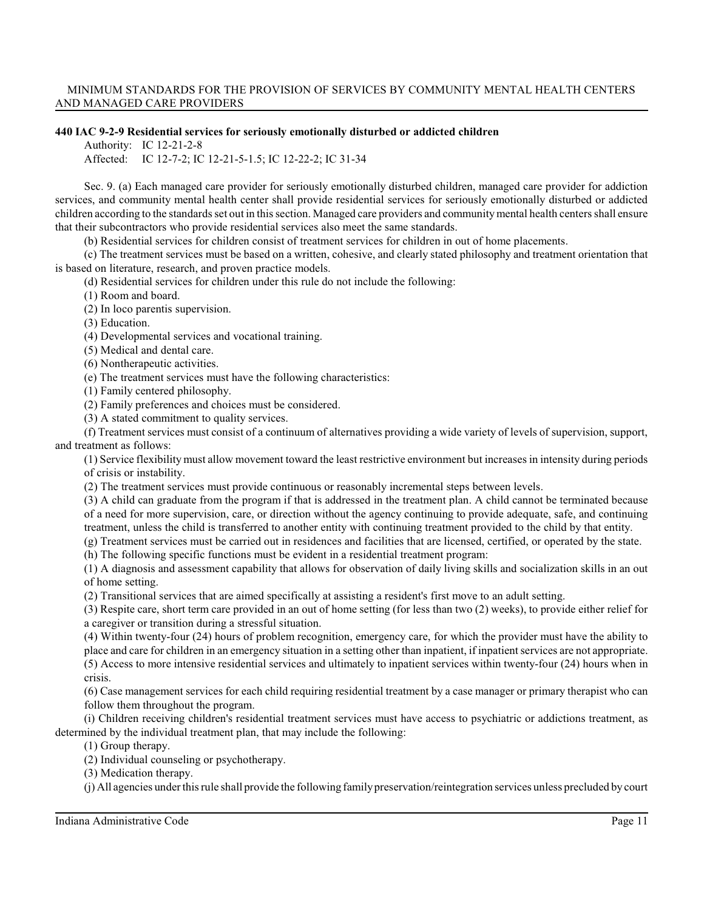#### **440 IAC 9-2-9 Residential services for seriously emotionally disturbed or addicted children**

Authority: IC 12-21-2-8

Affected: IC 12-7-2; IC 12-21-5-1.5; IC 12-22-2; IC 31-34

Sec. 9. (a) Each managed care provider for seriously emotionally disturbed children, managed care provider for addiction services, and community mental health center shall provide residential services for seriously emotionally disturbed or addicted children according to the standards set out in this section. Managed care providers and community mental health centers shall ensure that their subcontractors who provide residential services also meet the same standards.

(b) Residential services for children consist of treatment services for children in out of home placements.

(c) The treatment services must be based on a written, cohesive, and clearly stated philosophy and treatment orientation that is based on literature, research, and proven practice models.

(d) Residential services for children under this rule do not include the following:

(1) Room and board.

(2) In loco parentis supervision.

(3) Education.

(4) Developmental services and vocational training.

(5) Medical and dental care.

(6) Nontherapeutic activities.

(e) The treatment services must have the following characteristics:

(1) Family centered philosophy.

(2) Family preferences and choices must be considered.

(3) A stated commitment to quality services.

(f) Treatment services must consist of a continuum of alternatives providing a wide variety of levels of supervision, support, and treatment as follows:

(1) Service flexibilitymust allow movement toward the least restrictive environment but increases in intensity during periods of crisis or instability.

(2) The treatment services must provide continuous or reasonably incremental steps between levels.

(3) A child can graduate from the program if that is addressed in the treatment plan. A child cannot be terminated because of a need for more supervision, care, or direction without the agency continuing to provide adequate, safe, and continuing treatment, unless the child is transferred to another entity with continuing treatment provided to the child by that entity.

(g) Treatment services must be carried out in residences and facilities that are licensed, certified, or operated by the state.

(h) The following specific functions must be evident in a residential treatment program:

(1) A diagnosis and assessment capability that allows for observation of daily living skills and socialization skills in an out of home setting.

(2) Transitional services that are aimed specifically at assisting a resident's first move to an adult setting.

(3) Respite care, short term care provided in an out of home setting (for less than two (2) weeks), to provide either relief for a caregiver or transition during a stressful situation.

(4) Within twenty-four (24) hours of problem recognition, emergency care, for which the provider must have the ability to place and care for children in an emergency situation in a setting other than inpatient, if inpatient services are not appropriate. (5) Access to more intensive residential services and ultimately to inpatient services within twenty-four (24) hours when in crisis.

(6) Case management services for each child requiring residential treatment by a case manager or primary therapist who can follow them throughout the program.

(i) Children receiving children's residential treatment services must have access to psychiatric or addictions treatment, as determined by the individual treatment plan, that may include the following:

(1) Group therapy.

(2) Individual counseling or psychotherapy.

(3) Medication therapy.

(j) All agencies underthisrule shall provide the following familypreservation/reintegration services unless precluded by court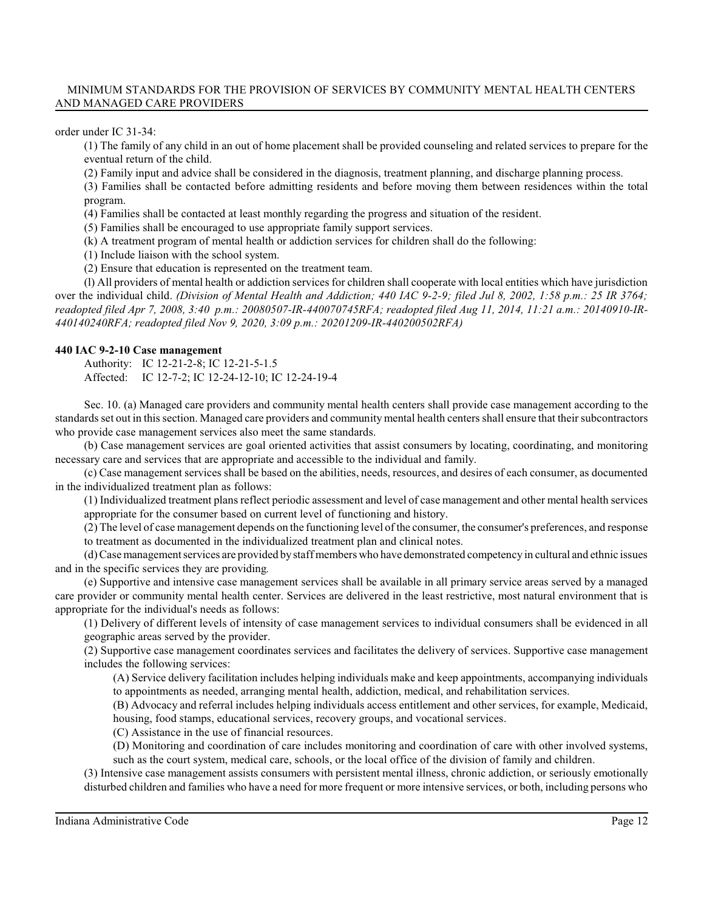order under IC 31-34:

(1) The family of any child in an out of home placement shall be provided counseling and related services to prepare for the eventual return of the child.

(2) Family input and advice shall be considered in the diagnosis, treatment planning, and discharge planning process.

(3) Families shall be contacted before admitting residents and before moving them between residences within the total program.

(4) Families shall be contacted at least monthly regarding the progress and situation of the resident.

(5) Families shall be encouraged to use appropriate family support services.

(k) A treatment program of mental health or addiction services for children shall do the following:

(1) Include liaison with the school system.

(2) Ensure that education is represented on the treatment team.

(l) All providers of mental health or addiction services for children shall cooperate with local entities which have jurisdiction over the individual child. *(Division of Mental Health and Addiction; 440 IAC 9-2-9; filed Jul 8, 2002, 1:58 p.m.: 25 IR 3764; readopted filed Apr 7, 2008, 3:40 p.m.: 20080507-IR-440070745RFA; readopted filed Aug 11, 2014, 11:21 a.m.: 20140910-IR-440140240RFA; readopted filed Nov 9, 2020, 3:09 p.m.: 20201209-IR-440200502RFA)*

#### **440 IAC 9-2-10 Case management**

Authority: IC 12-21-2-8; IC 12-21-5-1.5

Affected: IC 12-7-2; IC 12-24-12-10; IC 12-24-19-4

Sec. 10. (a) Managed care providers and community mental health centers shall provide case management according to the standards set out in this section. Managed care providers and community mental health centers shall ensure that their subcontractors who provide case management services also meet the same standards.

(b) Case management services are goal oriented activities that assist consumers by locating, coordinating, and monitoring necessary care and services that are appropriate and accessible to the individual and family.

(c) Case management services shall be based on the abilities, needs, resources, and desires of each consumer, as documented in the individualized treatment plan as follows:

(1) Individualized treatment plans reflect periodic assessment and level of case management and other mental health services appropriate for the consumer based on current level of functioning and history.

(2) The level of case management depends on the functioning level of the consumer, the consumer's preferences, and response to treatment as documented in the individualized treatment plan and clinical notes.

(d) Case management services are provided by staff members who have demonstrated competency in cultural and ethnic issues and in the specific services they are providing*.*

(e) Supportive and intensive case management services shall be available in all primary service areas served by a managed care provider or community mental health center. Services are delivered in the least restrictive, most natural environment that is appropriate for the individual's needs as follows:

(1) Delivery of different levels of intensity of case management services to individual consumers shall be evidenced in all geographic areas served by the provider.

(2) Supportive case management coordinates services and facilitates the delivery of services. Supportive case management includes the following services:

(A) Service delivery facilitation includes helping individuals make and keep appointments, accompanying individuals to appointments as needed, arranging mental health, addiction, medical, and rehabilitation services.

(B) Advocacy and referral includes helping individuals access entitlement and other services, for example, Medicaid, housing, food stamps, educational services, recovery groups, and vocational services.

(C) Assistance in the use of financial resources.

(D) Monitoring and coordination of care includes monitoring and coordination of care with other involved systems, such as the court system, medical care, schools, or the local office of the division of family and children.

(3) Intensive case management assists consumers with persistent mental illness, chronic addiction, or seriously emotionally disturbed children and families who have a need for more frequent or more intensive services, or both, including persons who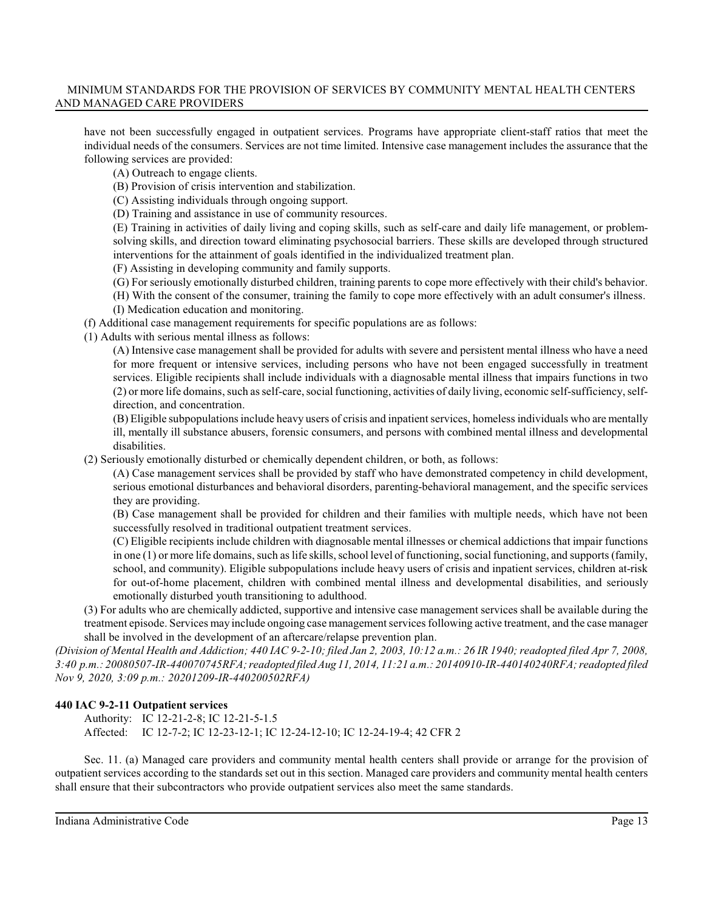have not been successfully engaged in outpatient services. Programs have appropriate client-staff ratios that meet the individual needs of the consumers. Services are not time limited. Intensive case management includes the assurance that the following services are provided:

(A) Outreach to engage clients.

(B) Provision of crisis intervention and stabilization.

(C) Assisting individuals through ongoing support.

(D) Training and assistance in use of community resources.

(E) Training in activities of daily living and coping skills, such as self-care and daily life management, or problemsolving skills, and direction toward eliminating psychosocial barriers. These skills are developed through structured interventions for the attainment of goals identified in the individualized treatment plan.

(F) Assisting in developing community and family supports.

(G) For seriously emotionally disturbed children, training parents to cope more effectively with their child's behavior.

- (H) With the consent of the consumer, training the family to cope more effectively with an adult consumer's illness.
- (I) Medication education and monitoring.

(f) Additional case management requirements for specific populations are as follows:

(1) Adults with serious mental illness as follows:

(A) Intensive case management shall be provided for adults with severe and persistent mental illness who have a need for more frequent or intensive services, including persons who have not been engaged successfully in treatment services. Eligible recipients shall include individuals with a diagnosable mental illness that impairs functions in two (2) or more life domains, such asself-care, social functioning, activities of daily living, economic self-sufficiency, selfdirection, and concentration.

(B) Eligible subpopulationsinclude heavy users of crisis and inpatient services, homeless individuals who are mentally ill, mentally ill substance abusers, forensic consumers, and persons with combined mental illness and developmental disabilities.

(2) Seriously emotionally disturbed or chemically dependent children, or both, as follows:

(A) Case management services shall be provided by staff who have demonstrated competency in child development, serious emotional disturbances and behavioral disorders, parenting-behavioral management, and the specific services they are providing.

(B) Case management shall be provided for children and their families with multiple needs, which have not been successfully resolved in traditional outpatient treatment services.

(C) Eligible recipients include children with diagnosable mental illnesses or chemical addictions that impair functions in one (1) or more life domains, such as life skills, school level of functioning, social functioning, and supports (family, school, and community). Eligible subpopulations include heavy users of crisis and inpatient services, children at-risk for out-of-home placement, children with combined mental illness and developmental disabilities, and seriously emotionally disturbed youth transitioning to adulthood.

(3) For adults who are chemically addicted, supportive and intensive case management services shall be available during the treatment episode. Services may include ongoing case management services following active treatment, and the case manager shall be involved in the development of an aftercare/relapse prevention plan.

*(Division of Mental Health and Addiction; 440 IAC 9-2-10; filed Jan 2, 2003, 10:12 a.m.: 26 IR 1940; readopted filed Apr 7, 2008, 3:40 p.m.: 20080507-IR-440070745RFA; readopted filed Aug 11, 2014, 11:21 a.m.: 20140910-IR-440140240RFA; readopted filed Nov 9, 2020, 3:09 p.m.: 20201209-IR-440200502RFA)*

# **440 IAC 9-2-11 Outpatient services**

Authority: IC 12-21-2-8; IC 12-21-5-1.5 Affected: IC 12-7-2; IC 12-23-12-1; IC 12-24-12-10; IC 12-24-19-4; 42 CFR 2

Sec. 11. (a) Managed care providers and community mental health centers shall provide or arrange for the provision of outpatient services according to the standards set out in this section. Managed care providers and community mental health centers shall ensure that their subcontractors who provide outpatient services also meet the same standards.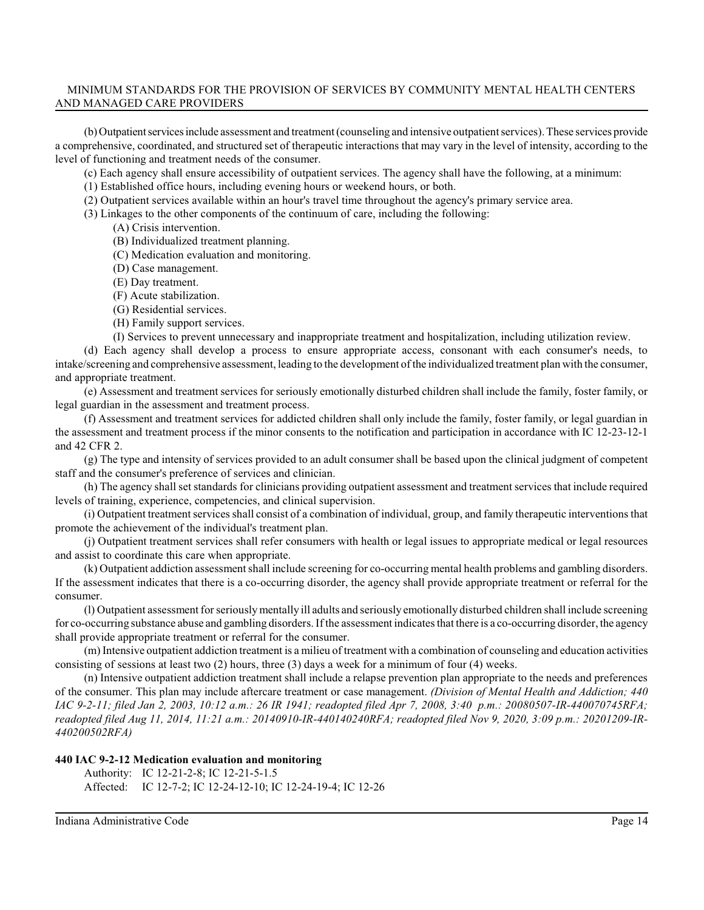(b) Outpatientservices include assessment and treatment (counseling and intensive outpatient services). These services provide a comprehensive, coordinated, and structured set of therapeutic interactions that may vary in the level of intensity, according to the level of functioning and treatment needs of the consumer.

(c) Each agency shall ensure accessibility of outpatient services. The agency shall have the following, at a minimum:

(1) Established office hours, including evening hours or weekend hours, or both.

(2) Outpatient services available within an hour's travel time throughout the agency's primary service area.

(3) Linkages to the other components of the continuum of care, including the following:

(A) Crisis intervention.

(B) Individualized treatment planning.

(C) Medication evaluation and monitoring.

(D) Case management.

(E) Day treatment.

(F) Acute stabilization.

(G) Residential services.

(H) Family support services.

(I) Services to prevent unnecessary and inappropriate treatment and hospitalization, including utilization review.

(d) Each agency shall develop a process to ensure appropriate access, consonant with each consumer's needs, to intake/screening and comprehensive assessment, leading to the development of the individualized treatment plan with the consumer, and appropriate treatment.

(e) Assessment and treatment services for seriously emotionally disturbed children shall include the family, foster family, or legal guardian in the assessment and treatment process.

(f) Assessment and treatment services for addicted children shall only include the family, foster family, or legal guardian in the assessment and treatment process if the minor consents to the notification and participation in accordance with IC 12-23-12-1 and 42 CFR 2.

(g) The type and intensity of services provided to an adult consumer shall be based upon the clinical judgment of competent staff and the consumer's preference of services and clinician.

(h) The agency shall set standards for clinicians providing outpatient assessment and treatment services that include required levels of training, experience, competencies, and clinical supervision.

(i) Outpatient treatment services shall consist of a combination of individual, group, and family therapeutic interventions that promote the achievement of the individual's treatment plan.

(j) Outpatient treatment services shall refer consumers with health or legal issues to appropriate medical or legal resources and assist to coordinate this care when appropriate.

(k) Outpatient addiction assessment shall include screening for co-occurring mental health problems and gambling disorders. If the assessment indicates that there is a co-occurring disorder, the agency shall provide appropriate treatment or referral for the consumer.

(l) Outpatient assessment forseriouslymentally ill adults and seriously emotionally disturbed children shall include screening for co-occurring substance abuse and gambling disorders. If the assessment indicates that there is a co-occurring disorder, the agency shall provide appropriate treatment or referral for the consumer.

(m) Intensive outpatient addiction treatment is a milieu of treatment with a combination of counseling and education activities consisting of sessions at least two (2) hours, three (3) days a week for a minimum of four (4) weeks.

(n) Intensive outpatient addiction treatment shall include a relapse prevention plan appropriate to the needs and preferences of the consumer. This plan may include aftercare treatment or case management. *(Division of Mental Health and Addiction; 440 IAC 9-2-11; filed Jan 2, 2003, 10:12 a.m.: 26 IR 1941; readopted filed Apr 7, 2008, 3:40 p.m.: 20080507-IR-440070745RFA; readopted filed Aug 11, 2014, 11:21 a.m.: 20140910-IR-440140240RFA; readopted filed Nov 9, 2020, 3:09 p.m.: 20201209-IR-440200502RFA)*

#### **440 IAC 9-2-12 Medication evaluation and monitoring**

Authority: IC 12-21-2-8; IC 12-21-5-1.5 Affected: IC 12-7-2; IC 12-24-12-10; IC 12-24-19-4; IC 12-26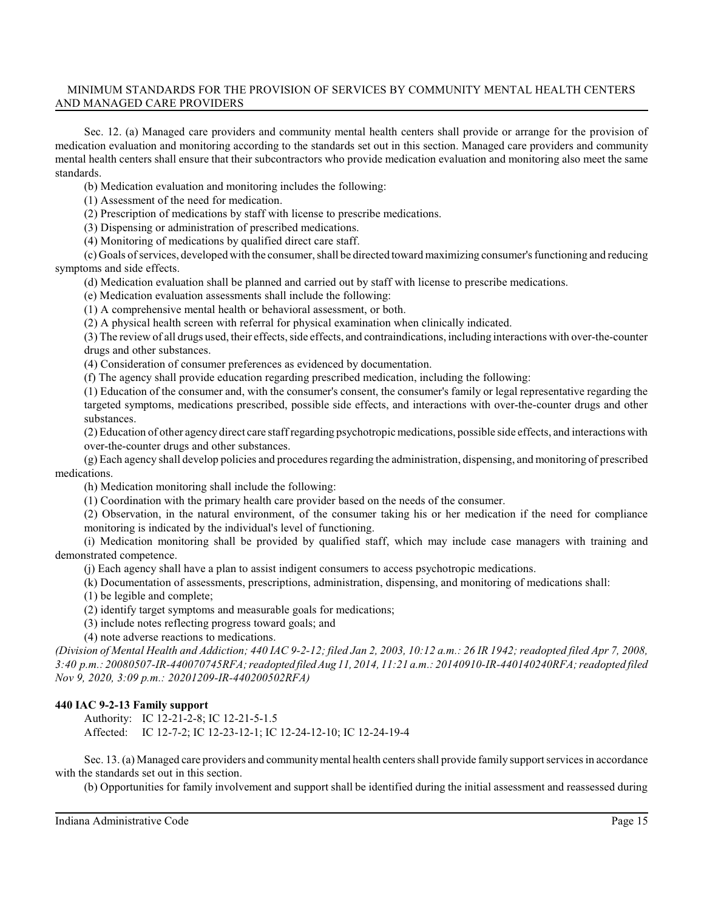Sec. 12. (a) Managed care providers and community mental health centers shall provide or arrange for the provision of medication evaluation and monitoring according to the standards set out in this section. Managed care providers and community mental health centers shall ensure that their subcontractors who provide medication evaluation and monitoring also meet the same standards.

(b) Medication evaluation and monitoring includes the following:

(1) Assessment of the need for medication.

(2) Prescription of medications by staff with license to prescribe medications.

(3) Dispensing or administration of prescribed medications.

(4) Monitoring of medications by qualified direct care staff.

(c) Goals ofservices, developed with the consumer, shall be directed toward maximizing consumer's functioning and reducing symptoms and side effects.

(d) Medication evaluation shall be planned and carried out by staff with license to prescribe medications.

(e) Medication evaluation assessments shall include the following:

(1) A comprehensive mental health or behavioral assessment, or both.

(2) A physical health screen with referral for physical examination when clinically indicated.

(3) The review of all drugs used, their effects, side effects, and contraindications, including interactions with over-the-counter drugs and other substances.

(4) Consideration of consumer preferences as evidenced by documentation.

(f) The agency shall provide education regarding prescribed medication, including the following:

(1) Education of the consumer and, with the consumer's consent, the consumer's family or legal representative regarding the targeted symptoms, medications prescribed, possible side effects, and interactions with over-the-counter drugs and other substances.

(2) Education of other agency direct care staff regarding psychotropic medications, possible side effects, and interactions with over-the-counter drugs and other substances.

(g) Each agency shall develop policies and proceduresregarding the administration, dispensing, and monitoring of prescribed medications.

(h) Medication monitoring shall include the following:

(1) Coordination with the primary health care provider based on the needs of the consumer.

(2) Observation, in the natural environment, of the consumer taking his or her medication if the need for compliance monitoring is indicated by the individual's level of functioning.

(i) Medication monitoring shall be provided by qualified staff, which may include case managers with training and demonstrated competence.

(j) Each agency shall have a plan to assist indigent consumers to access psychotropic medications.

(k) Documentation of assessments, prescriptions, administration, dispensing, and monitoring of medications shall:

(1) be legible and complete;

(2) identify target symptoms and measurable goals for medications;

(3) include notes reflecting progress toward goals; and

(4) note adverse reactions to medications.

*(Division of Mental Health and Addiction; 440 IAC 9-2-12; filed Jan 2, 2003, 10:12 a.m.: 26 IR 1942; readopted filed Apr 7, 2008, 3:40 p.m.: 20080507-IR-440070745RFA; readopted filed Aug 11, 2014, 11:21 a.m.: 20140910-IR-440140240RFA; readopted filed Nov 9, 2020, 3:09 p.m.: 20201209-IR-440200502RFA)*

# **440 IAC 9-2-13 Family support**

Authority: IC 12-21-2-8; IC 12-21-5-1.5 Affected: IC 12-7-2; IC 12-23-12-1; IC 12-24-12-10; IC 12-24-19-4

Sec. 13. (a) Managed care providers and community mental health centers shall provide family support services in accordance with the standards set out in this section.

(b) Opportunities for family involvement and support shall be identified during the initial assessment and reassessed during